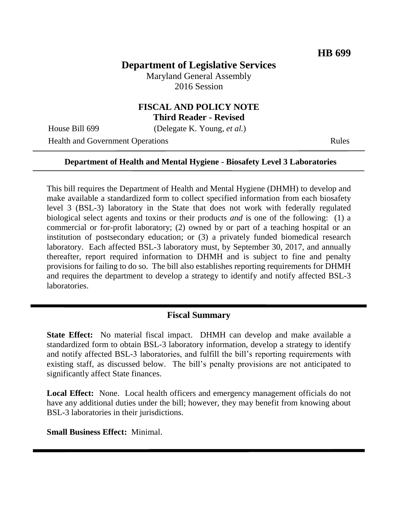# **Department of Legislative Services**

Maryland General Assembly 2016 Session

### **FISCAL AND POLICY NOTE Third Reader - Revised**

House Bill 699 (Delegate K. Young, *et al.*)

Health and Government Operations Rules

#### **Department of Health and Mental Hygiene - Biosafety Level 3 Laboratories**

This bill requires the Department of Health and Mental Hygiene (DHMH) to develop and make available a standardized form to collect specified information from each biosafety level 3 (BSL-3) laboratory in the State that does not work with federally regulated biological select agents and toxins or their products *and* is one of the following: (1) a commercial or for-profit laboratory; (2) owned by or part of a teaching hospital or an institution of postsecondary education; or (3) a privately funded biomedical research laboratory. Each affected BSL-3 laboratory must, by September 30, 2017, and annually thereafter, report required information to DHMH and is subject to fine and penalty provisions for failing to do so. The bill also establishes reporting requirements for DHMH and requires the department to develop a strategy to identify and notify affected BSL-3 laboratories.

### **Fiscal Summary**

**State Effect:** No material fiscal impact. DHMH can develop and make available a standardized form to obtain BSL-3 laboratory information, develop a strategy to identify and notify affected BSL-3 laboratories, and fulfill the bill's reporting requirements with existing staff, as discussed below. The bill's penalty provisions are not anticipated to significantly affect State finances.

Local Effect: None. Local health officers and emergency management officials do not have any additional duties under the bill; however, they may benefit from knowing about BSL-3 laboratories in their jurisdictions.

**Small Business Effect:** Minimal.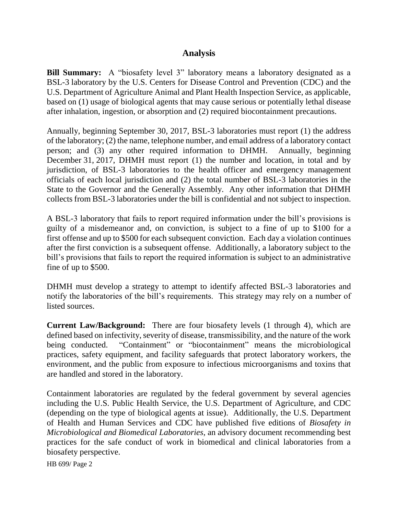### **Analysis**

**Bill Summary:** A "biosafety level 3" laboratory means a laboratory designated as a BSL-3 laboratory by the U.S. Centers for Disease Control and Prevention (CDC) and the U.S. Department of Agriculture Animal and Plant Health Inspection Service, as applicable, based on (1) usage of biological agents that may cause serious or potentially lethal disease after inhalation, ingestion, or absorption and (2) required biocontainment precautions.

Annually, beginning September 30, 2017, BSL-3 laboratories must report (1) the address of the laboratory; (2) the name, telephone number, and email address of a laboratory contact person; and (3) any other required information to DHMH. Annually, beginning December 31, 2017, DHMH must report (1) the number and location, in total and by jurisdiction, of BSL-3 laboratories to the health officer and emergency management officials of each local jurisdiction and (2) the total number of BSL-3 laboratories in the State to the Governor and the Generally Assembly. Any other information that DHMH collects from BSL-3 laboratories under the bill is confidential and not subject to inspection.

A BSL-3 laboratory that fails to report required information under the bill's provisions is guilty of a misdemeanor and, on conviction, is subject to a fine of up to \$100 for a first offense and up to \$500 for each subsequent conviction. Each day a violation continues after the first conviction is a subsequent offense. Additionally, a laboratory subject to the bill's provisions that fails to report the required information is subject to an administrative fine of up to \$500.

DHMH must develop a strategy to attempt to identify affected BSL-3 laboratories and notify the laboratories of the bill's requirements. This strategy may rely on a number of listed sources.

**Current Law/Background:** There are four biosafety levels (1 through 4), which are defined based on infectivity, severity of disease, transmissibility, and the nature of the work being conducted. "Containment" or "biocontainment" means the microbiological practices, safety equipment, and facility safeguards that protect laboratory workers, the environment, and the public from exposure to infectious microorganisms and toxins that are handled and stored in the laboratory.

Containment laboratories are regulated by the federal government by several agencies including the U.S. Public Health Service, the U.S. Department of Agriculture, and CDC (depending on the type of biological agents at issue). Additionally, the U.S. Department of Health and Human Services and CDC have published five editions of *Biosafety in Microbiological and Biomedical Laboratories*, an advisory document recommending best practices for the safe conduct of work in biomedical and clinical laboratories from a biosafety perspective.

HB 699/ Page 2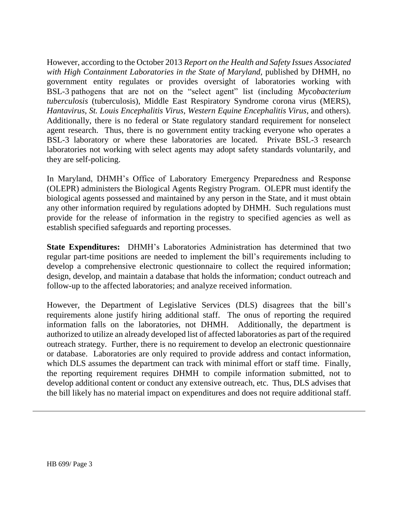However, according to the October 2013 *Report on the Health and Safety Issues Associated with High Containment Laboratories in the State of Maryland,* published by DHMH, no government entity regulates or provides oversight of laboratories working with BSL-3 pathogens that are not on the "select agent" list (including *Mycobacterium tuberculosis* (tuberculosis), Middle East Respiratory Syndrome corona virus (MERS), *Hantavirus*, *St. Louis Encephalitis Virus*, *Western Equine Encephalitis Virus*, and others). Additionally, there is no federal or State regulatory standard requirement for nonselect agent research. Thus, there is no government entity tracking everyone who operates a BSL-3 laboratory or where these laboratories are located. Private BSL-3 research laboratories not working with select agents may adopt safety standards voluntarily, and they are self-policing.

In Maryland, DHMH's Office of Laboratory Emergency Preparedness and Response (OLEPR) administers the Biological Agents Registry Program. OLEPR must identify the biological agents possessed and maintained by any person in the State, and it must obtain any other information required by regulations adopted by DHMH. Such regulations must provide for the release of information in the registry to specified agencies as well as establish specified safeguards and reporting processes.

**State Expenditures:** DHMH's Laboratories Administration has determined that two regular part-time positions are needed to implement the bill's requirements including to develop a comprehensive electronic questionnaire to collect the required information; design, develop, and maintain a database that holds the information; conduct outreach and follow-up to the affected laboratories; and analyze received information.

However, the Department of Legislative Services (DLS) disagrees that the bill's requirements alone justify hiring additional staff. The onus of reporting the required information falls on the laboratories, not DHMH. Additionally, the department is authorized to utilize an already developed list of affected laboratories as part of the required outreach strategy. Further, there is no requirement to develop an electronic questionnaire or database. Laboratories are only required to provide address and contact information, which DLS assumes the department can track with minimal effort or staff time. Finally, the reporting requirement requires DHMH to compile information submitted, not to develop additional content or conduct any extensive outreach, etc. Thus, DLS advises that the bill likely has no material impact on expenditures and does not require additional staff.